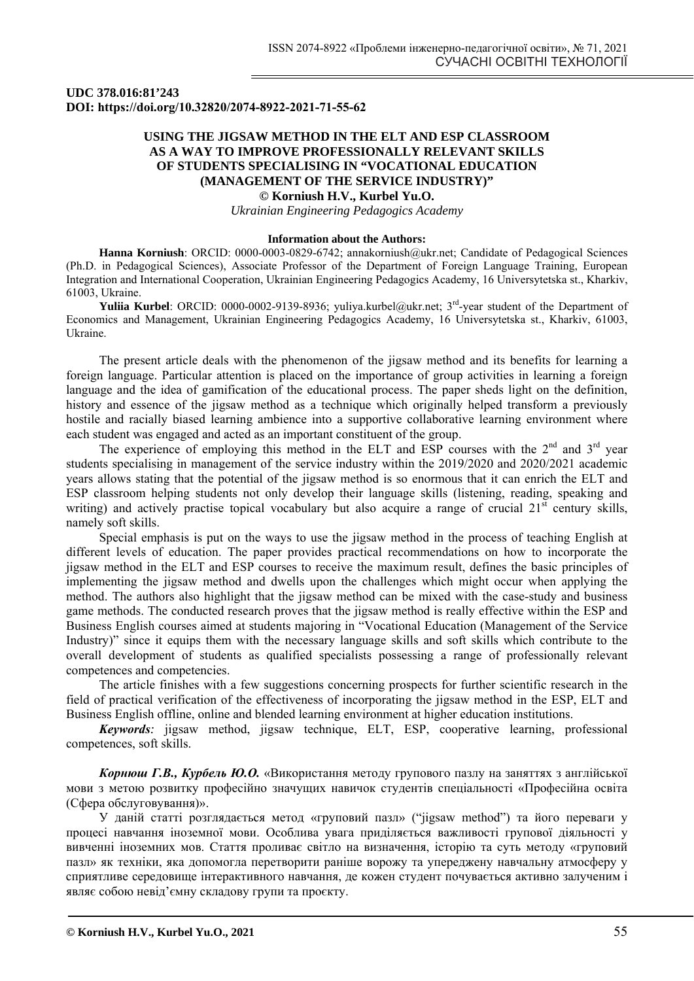### **UDC 378.016:81'243 DOI: https://doi.org/10.32820/2074-8922-2021-71-55-62**

# **USING THE JIGSAW METHOD IN THE ELT AND ESP CLASSROOM AS A WAY TO IMPROVE PROFESSIONALLY RELEVANT SKILLS OF STUDENTS SPECIALISING IN "VOCATIONAL EDUCATION (MANAGEMENT OF THE SERVICE INDUSTRY)"**

**© Korniush H.V., Kurbel Yu.O.**

*Ukrainian Engineering Pedagogics Academy* 

#### **Information about the Authors:**

**Hanna Korniush**: ORCID: 0000-0003-0829-6742; annakorniush@ukr.net; Candidate of Pedagogical Sciences (Ph.D. in Pedagogical Sciences), Associate Professor of the Department of Foreign Language Training, European Integration and International Cooperation, Ukrainian Engineering Pedagogics Academy, 16 Universytetska st., Kharkiv, 61003, Ukraine.

Yuliia Kurbel: ORCID: 0000-0002-9139-8936; yuliya.kurbel@ukr.net; 3<sup>rd</sup>-year student of the Department of Economics and Management, Ukrainian Engineering Pedagogics Academy, 16 Universytetska st., Kharkiv, 61003, Ukraine.

The present article deals with the phenomenon of the jigsaw method and its benefits for learning a foreign language. Particular attention is placed on the importance of group activities in learning a foreign language and the idea of gamification of the educational process. The paper sheds light on the definition, history and essence of the jigsaw method as a technique which originally helped transform a previously hostile and racially biased learning ambience into a supportive collaborative learning environment where each student was engaged and acted as an important constituent of the group.

The experience of employing this method in the ELT and ESP courses with the  $2<sup>nd</sup>$  and  $3<sup>rd</sup>$  year students specialising in management of the service industry within the 2019/2020 and 2020/2021 academic years allows stating that the potential of the jigsaw method is so enormous that it can enrich the ELT and ESP classroom helping students not only develop their language skills (listening, reading, speaking and writing) and actively practise topical vocabulary but also acquire a range of crucial  $21<sup>st</sup>$  century skills, namely soft skills.

Special emphasis is put on the ways to use the jigsaw method in the process of teaching English at different levels of education. The paper provides practical recommendations on how to incorporate the jigsaw method in the ELT and ESP courses to receive the maximum result, defines the basic principles of implementing the jigsaw method and dwells upon the challenges which might occur when applying the method. The authors also highlight that the jigsaw method can be mixed with the case-study and business game methods. The conducted research proves that the jigsaw method is really effective within the ESP and Business English courses aimed at students majoring in "Vocational Education (Management of the Service Industry)" since it equips them with the necessary language skills and soft skills which contribute to the overall development of students as qualified specialists possessing a range of professionally relevant competences and competencies.

The article finishes with a few suggestions concerning prospects for further scientific research in the field of practical verification of the effectiveness of incorporating the jigsaw method in the ESP, ELT and Business English offline, online and blended learning environment at higher education institutions.

*Keywords:* jigsaw method, jigsaw technique, ELT, ESP, cooperative learning, professional competences, soft skills.

*Корнюш Г.В., Курбель Ю.О.* «Використання методу групового пазлу на заняттях з англійської мови з метою розвитку професійно значущих навичок студентів спеціальності «Професійна освіта (Сфера обслуговування)».

У даній статті розглядається метод «груповий пазл» ("jigsaw method") та його переваги у процесі навчання іноземної мови. Особлива увага приділяється важливості групової діяльності у вивченні іноземних мов. Стаття проливає світло на визначення, історію та суть методу «груповий пазл» як техніки, яка допомогла перетворити раніше ворожу та упереджену навчальну атмосферу у сприятливе середовище інтерактивного навчання, де кожен студент почувається активно залученим і являє собою невід'ємну складову групи та проєкту.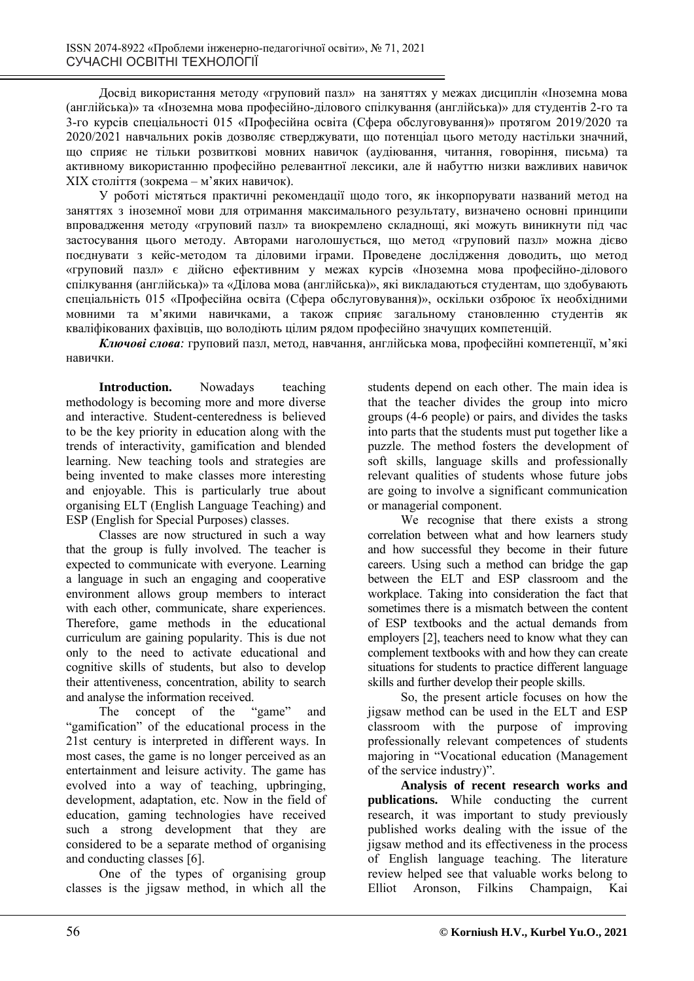Досвід використання методу «груповий пазл» на заняттях у межах дисциплін «Іноземна мова (англійська)» та «Іноземна мова професійно-ділового спілкування (англійська)» для студентів 2-го та 3-го курсів спеціальності 015 «Професійна освіта (Сфера обслуговування)» протягом 2019/2020 та 2020/2021 навчальних років дозволяє стверджувати, що потенціал цього методу настільки значний, що сприяє не тільки розвиткові мовних навичок (аудіювання, читання, говоріння, письма) та активному використанню професійно релевантної лексики, але й набуттю низки важливих навичок ХІХ століття (зокрема – м'яких навичок).

У роботі містяться практичні рекомендації щодо того, як інкорпорувати названий метод на заняттях з іноземної мови для отримання максимального результату, визначено основні принципи впровадження методу «груповий пазл» та виокремлено складнощі, які можуть виникнути під час застосування цього методу. Авторами наголошується, що метод «груповий пазл» можна дієво поєднувати з кейс-методом та діловими іграми. Проведене дослідження доводить, що метод «груповий пазл» є дійсно ефективним у межах курсів «Іноземна мова професійно-ділового спілкування (англійська)» та «Ділова мова (англійська)», які викладаються студентам, що здобувають спеціальність 015 «Професійна освіта (Сфера обслуговування)», оскільки озброює їх необхідними мовними та м'якими навичками, а також сприяє загальному становленню студентів як кваліфікованих фахівців, що володіють цілим рядом професійно значущих компетенцій.

*Ключові слова:* груповий пазл, метод, навчання, англійська мова, професійні компетенції, м'які навички.

**Introduction.** Nowadays teaching methodology is becoming more and more diverse and interactive. Student-centeredness is believed to be the key priority in education along with the trends of interactivity, gamification and blended learning. New teaching tools and strategies are being invented to make classes more interesting and enjoyable. This is particularly true about organising ELT (English Language Teaching) and ESP (English for Special Purposes) classes.

Classes are now structured in such a way that the group is fully involved. The teacher is expected to communicate with everyone. Learning a language in such an engaging and cooperative environment allows group members to interact with each other, communicate, share experiences. Therefore, game methods in the educational curriculum are gaining popularity. This is due not only to the need to activate educational and cognitive skills of students, but also to develop their attentiveness, concentration, ability to search and analyse the information received.

The concept of the "game" and "gamification" of the educational process in the 21st century is interpreted in different ways. In most cases, the game is no longer perceived as an entertainment and leisure activity. The game has evolved into a way of teaching, upbringing, development, adaptation, etc. Now in the field of education, gaming technologies have received such a strong development that they are considered to be a separate method of organising and conducting classes [6].

One of the types of organising group classes is the jigsaw method, in which all the students depend on each other. The main idea is that the teacher divides the group into micro groups (4-6 people) or pairs, and divides the tasks into parts that the students must put together like a puzzle. The method fosters the development of soft skills, language skills and professionally relevant qualities of students whose future jobs are going to involve a significant communication or managerial component.

We recognise that there exists a strong correlation between what and how learners study and how successful they become in their future careers. Using such a method can bridge the gap between the ELT and ESP classroom and the workplace. Taking into consideration the fact that sometimes there is a mismatch between the content of ESP textbooks and the actual demands from employers [2], teachers need to know what they can complement textbooks with and how they can create situations for students to practice different language skills and further develop their people skills.

So, the present article focuses on how the jigsaw method can be used in the ELT and ESP classroom with the purpose of improving professionally relevant competences of students majoring in "Vocational education (Management of the service industry)".

**Analysis of recent research works and publications.** While conducting the current research, it was important to study previously published works dealing with the issue of the jigsaw method and its effectiveness in the process of English language teaching. The literature review helped see that valuable works belong to Elliot Aronson, Filkins Champaign, Kai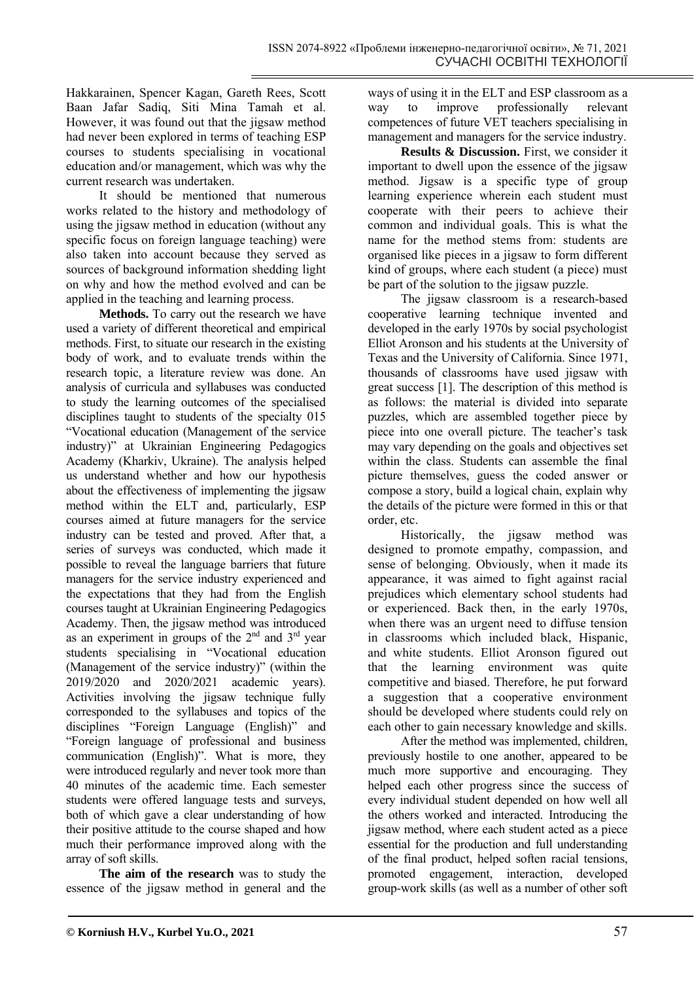Hakkarainen, Spencer Kagan, Gareth Rees, Scott Baan Jafar Sadiq, Siti Mina Tamah et al. However, it was found out that the jigsaw method had never been explored in terms of teaching ESP courses to students specialising in vocational education and/or management, which was why the current research was undertaken.

It should be mentioned that numerous works related to the history and methodology of using the jigsaw method in education (without any specific focus on foreign language teaching) were also taken into account because they served as sources of background information shedding light on why and how the method evolved and can be applied in the teaching and learning process.

**Methods.** To carry out the research we have used a variety of different theoretical and empirical methods. First, to situate our research in the existing body of work, and to evaluate trends within the research topic, a literature review was done. An analysis of curricula and syllabuses was conducted to study the learning outcomes of the specialised disciplines taught to students of the specialty 015 "Vocational education (Management of the service industry)" at Ukrainian Engineering Pedagogics Academy (Kharkiv, Ukraine). The analysis helped us understand whether and how our hypothesis about the effectiveness of implementing the jigsaw method within the ELT and, particularly, ESP courses aimed at future managers for the service industry can be tested and proved. After that, a series of surveys was conducted, which made it possible to reveal the language barriers that future managers for the service industry experienced and the expectations that they had from the English courses taught at Ukrainian Engineering Pedagogics Academy. Then, the jigsaw method was introduced as an experiment in groups of the  $2<sup>nd</sup>$  and  $3<sup>rd</sup>$  year students specialising in "Vocational education (Management of the service industry)" (within the 2019/2020 and 2020/2021 academic years). Activities involving the jigsaw technique fully corresponded to the syllabuses and topics of the disciplines "Foreign Language (English)" and "Foreign language of professional and business communication (English)". What is more, they were introduced regularly and never took more than 40 minutes of the academic time. Each semester students were offered language tests and surveys, both of which gave a clear understanding of how their positive attitude to the course shaped and how much their performance improved along with the array of soft skills.

**The aim of the research** was to study the essence of the jigsaw method in general and the ways of using it in the ELT and ESP classroom as a way to improve professionally relevant competences of future VET teachers specialising in management and managers for the service industry.

**Results & Discussion.** First, we consider it important to dwell upon the essence of the jigsaw method. Jigsaw is a specific type of group learning experience wherein each student must cooperate with their peers to achieve their common and individual goals. This is what the name for the method stems from: students are organised like pieces in a jigsaw to form different kind of groups, where each student (a piece) must be part of the solution to the jigsaw puzzle.

The jigsaw classroom is a research-based cooperative learning technique invented and developed in the early 1970s by social psychologist Elliot Aronson and his students at the University of Texas and the University of California. Since 1971, thousands of classrooms have used jigsaw with great success [1]. The description of this method is as follows: the material is divided into separate puzzles, which are assembled together piece by piece into one overall picture. The teacher's task may vary depending on the goals and objectives set within the class. Students can assemble the final picture themselves, guess the coded answer or compose a story, build a logical chain, explain why the details of the picture were formed in this or that order, etc.

Historically, the jigsaw method was designed to promote empathy, compassion, and sense of belonging. Obviously, when it made its appearance, it was aimed to fight against racial prejudices which elementary school students had or experienced. Back then, in the early 1970s, when there was an urgent need to diffuse tension in classrooms which included black, Hispanic, and white students. Elliot Aronson figured out that the learning environment was quite competitive and biased. Therefore, he put forward a suggestion that a cooperative environment should be developed where students could rely on each other to gain necessary knowledge and skills.

After the method was implemented, children, previously hostile to one another, appeared to be much more supportive and encouraging. They helped each other progress since the success of every individual student depended on how well all the others worked and interacted. Introducing the jigsaw method, where each student acted as a piece essential for the production and full understanding of the final product, helped soften racial tensions, promoted engagement, interaction, developed group-work skills (as well as a number of other soft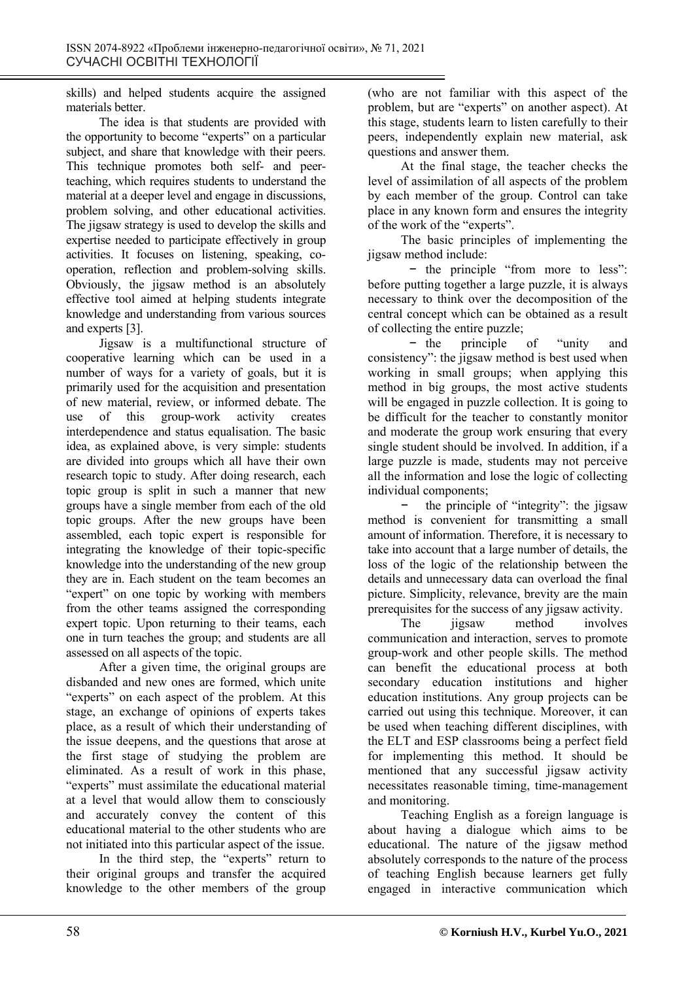skills) and helped students acquire the assigned materials better.

The idea is that students are provided with the opportunity to become "experts" on a particular subject, and share that knowledge with their peers. This technique promotes both self- and peerteaching, which requires students to understand the material at a deeper level and engage in discussions, problem solving, and other educational activities. The jigsaw strategy is used to develop the skills and expertise needed to participate effectively in group activities. It focuses on listening, speaking, cooperation, reflection and problem-solving skills. Obviously, the jigsaw method is an absolutely effective tool aimed at helping students integrate knowledge and understanding from various sources and experts [3].

Jigsaw is a multifunctional structure of cooperative learning which can be used in a number of ways for a variety of goals, but it is primarily used for the acquisition and presentation of new material, review, or informed debate. The use of this group-work activity creates interdependence and status equalisation. The basic idea, as explained above, is very simple: students are divided into groups which all have their own research topic to study. After doing research, each topic group is split in such a manner that new groups have a single member from each of the old topic groups. After the new groups have been assembled, each topic expert is responsible for integrating the knowledge of their topic-specific knowledge into the understanding of the new group they are in. Each student on the team becomes an "expert" on one topic by working with members from the other teams assigned the corresponding expert topic. Upon returning to their teams, each one in turn teaches the group; and students are all assessed on all aspects of the topic.

After a given time, the original groups are disbanded and new ones are formed, which unite "experts" on each aspect of the problem. At this stage, an exchange of opinions of experts takes place, as a result of which their understanding of the issue deepens, and the questions that arose at the first stage of studying the problem are eliminated. As a result of work in this phase, "experts" must assimilate the educational material at a level that would allow them to consciously and accurately convey the content of this educational material to the other students who are not initiated into this particular aspect of the issue.

In the third step, the "experts" return to their original groups and transfer the acquired knowledge to the other members of the group (who are not familiar with this aspect of the problem, but are "experts" on another aspect). At this stage, students learn to listen carefully to their peers, independently explain new material, ask questions and answer them.

At the final stage, the teacher checks the level of assimilation of all aspects of the problem by each member of the group. Control can take place in any known form and ensures the integrity of the work of the "experts".

The basic principles of implementing the jigsaw method include:

− the principle "from more to less": before putting together a large puzzle, it is always necessary to think over the decomposition of the central concept which can be obtained as a result of collecting the entire puzzle;

− the principle of "unity and consistency": the jigsaw method is best used when working in small groups; when applying this method in big groups, the most active students will be engaged in puzzle collection. It is going to be difficult for the teacher to constantly monitor and moderate the group work ensuring that every single student should be involved. In addition, if a large puzzle is made, students may not perceive all the information and lose the logic of collecting individual components;

the principle of "integrity": the jigsaw method is convenient for transmitting a small amount of information. Therefore, it is necessary to take into account that a large number of details, the loss of the logic of the relationship between the details and unnecessary data can overload the final picture. Simplicity, relevance, brevity are the main prerequisites for the success of any jigsaw activity.

The *jigsaw* method involves communication and interaction, serves to promote group-work and other people skills. The method can benefit the educational process at both secondary education institutions and higher education institutions. Any group projects can be carried out using this technique. Moreover, it can be used when teaching different disciplines, with the ELT and ESP classrooms being a perfect field for implementing this method. It should be mentioned that any successful jigsaw activity necessitates reasonable timing, time-management and monitoring.

Teaching English as a foreign language is about having a dialogue which aims to be educational. The nature of the jigsaw method absolutely corresponds to the nature of the process of teaching English because learners get fully engaged in interactive communication which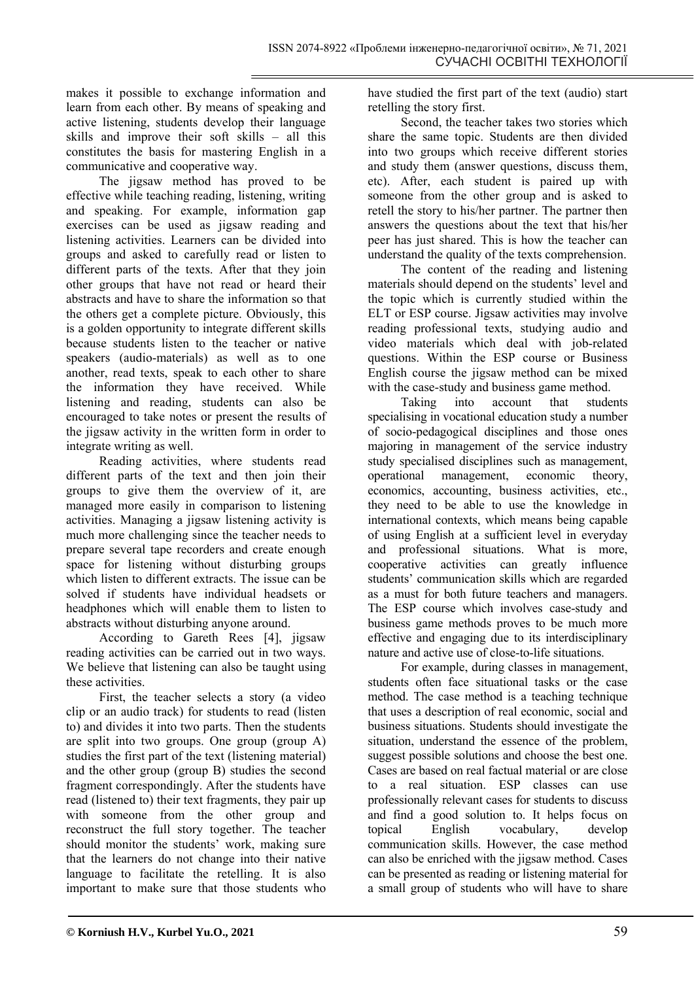makes it possible to exchange information and learn from each other. By means of speaking and active listening, students develop their language skills and improve their soft skills – all this constitutes the basis for mastering English in a communicative and cooperative way.

The jigsaw method has proved to be effective while teaching reading, listening, writing and speaking. For example, information gap exercises can be used as jigsaw reading and listening activities. Learners can be divided into groups and asked to carefully read or listen to different parts of the texts. After that they join other groups that have not read or heard their abstracts and have to share the information so that the others get a complete picture. Obviously, this is a golden opportunity to integrate different skills because students listen to the teacher or native speakers (audio-materials) as well as to one another, read texts, speak to each other to share the information they have received. While listening and reading, students can also be encouraged to take notes or present the results of the jigsaw activity in the written form in order to integrate writing as well.

Reading activities, where students read different parts of the text and then join their groups to give them the overview of it, are managed more easily in comparison to listening activities. Managing a jigsaw listening activity is much more challenging since the teacher needs to prepare several tape recorders and create enough space for listening without disturbing groups which listen to different extracts. The issue can be solved if students have individual headsets or headphones which will enable them to listen to abstracts without disturbing anyone around.

According to Gareth Rees [4], jigsaw reading activities can be carried out in two ways. We believe that listening can also be taught using these activities.

First, the teacher selects a story (a video clip or an audio track) for students to read (listen to) and divides it into two parts. Then the students are split into two groups. One group (group A) studies the first part of the text (listening material) and the other group (group B) studies the second fragment correspondingly. After the students have read (listened to) their text fragments, they pair up with someone from the other group and reconstruct the full story together. The teacher should monitor the students' work, making sure that the learners do not change into their native language to facilitate the retelling. It is also important to make sure that those students who

have studied the first part of the text (audio) start retelling the story first.

Second, the teacher takes two stories which share the same topic. Students are then divided into two groups which receive different stories and study them (answer questions, discuss them, etc). After, each student is paired up with someone from the other group and is asked to retell the story to his/her partner. The partner then answers the questions about the text that his/her peer has just shared. This is how the teacher can understand the quality of the texts comprehension.

The content of the reading and listening materials should depend on the students' level and the topic which is currently studied within the ELT or ESP course. Jigsaw activities may involve reading professional texts, studying audio and video materials which deal with job-related questions. Within the ESP course or Business English course the jigsaw method can be mixed with the case-study and business game method.

Taking into account that students specialising in vocational education study a number of socio-pedagogical disciplines and those ones majoring in management of the service industry study specialised disciplines such as management, operational management, economic theory, economics, accounting, business activities, etc., they need to be able to use the knowledge in international contexts, which means being capable of using English at a sufficient level in everyday and professional situations. What is more, cooperative activities can greatly influence students' communication skills which are regarded as a must for both future teachers and managers. The ESP course which involves case-study and business game methods proves to be much more effective and engaging due to its interdisciplinary nature and active use of close-to-life situations.

For example, during classes in management, students often face situational tasks or the case method. The case method is a teaching technique that uses a description of real economic, social and business situations. Students should investigate the situation, understand the essence of the problem, suggest possible solutions and choose the best one. Cases are based on real factual material or are close to a real situation. ESP classes can use professionally relevant cases for students to discuss and find a good solution to. It helps focus on topical English vocabulary, develop communication skills. However, the case method can also be enriched with the jigsaw method. Cases can be presented as reading or listening material for a small group of students who will have to share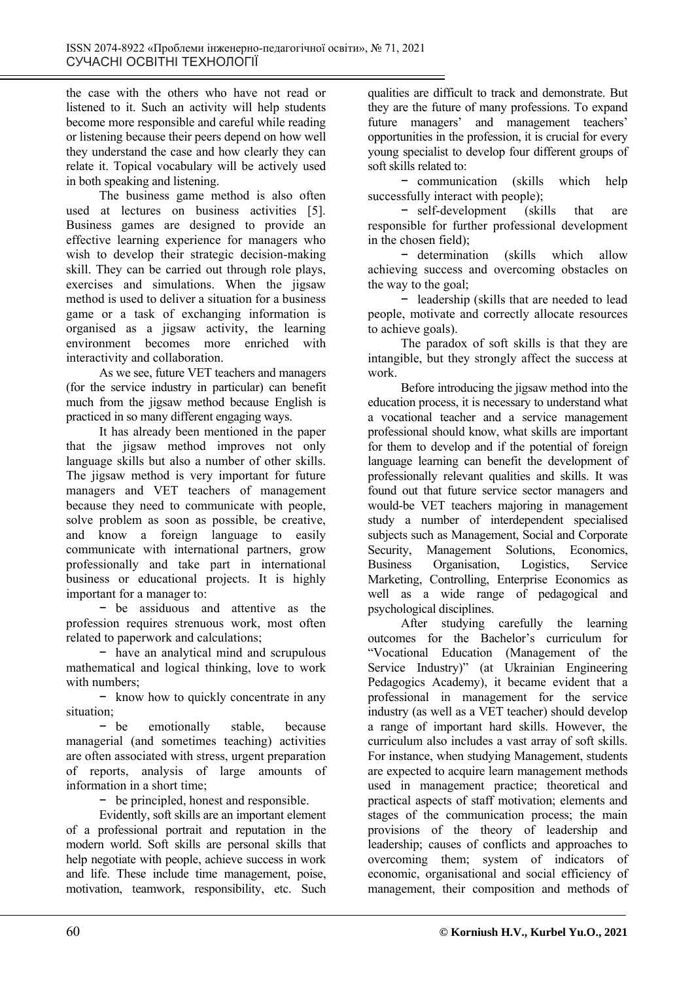the case with the others who have not read or listened to it. Such an activity will help students become more responsible and careful while reading or listening because their peers depend on how well they understand the case and how clearly they can relate it. Topical vocabulary will be actively used in both speaking and listening.

The business game method is also often used at lectures on business activities [5]. Business games are designed to provide an effective learning experience for managers who wish to develop their strategic decision-making skill. They can be carried out through role plays, exercises and simulations. When the jigsaw method is used to deliver a situation for a business game or a task of exchanging information is organised as a jigsaw activity, the learning environment becomes more enriched with interactivity and collaboration.

As we see, future VET teachers and managers (for the service industry in particular) can benefit much from the jigsaw method because English is practiced in so many different engaging ways.

It has already been mentioned in the paper that the jigsaw method improves not only language skills but also a number of other skills. The jigsaw method is very important for future managers and VET teachers of management because they need to communicate with people, solve problem as soon as possible, be creative, and know a foreign language to easily communicate with international partners, grow professionally and take part in international business or educational projects. It is highly important for a manager to:

− be assiduous and attentive as the profession requires strenuous work, most often related to paperwork and calculations;

− have an analytical mind and scrupulous mathematical and logical thinking, love to work with numbers;

− know how to quickly concentrate in any situation;

− be emotionally stable, because managerial (and sometimes teaching) activities are often associated with stress, urgent preparation of reports, analysis of large amounts of information in a short time;

− be principled, honest and responsible.

Evidently, soft skills are an important element of a professional portrait and reputation in the modern world. Soft skills are personal skills that help negotiate with people, achieve success in work and life. These include time management, poise, motivation, teamwork, responsibility, etc. Such qualities are difficult to track and demonstrate. But they are the future of many professions. To expand future managers' and management teachers' opportunities in the profession, it is crucial for every young specialist to develop four different groups of soft skills related to:

− communication (skills which help successfully interact with people);

− self-development (skills that are responsible for further professional development in the chosen field);

− determination (skills which allow achieving success and overcoming obstacles on the way to the goal;

− leadership (skills that are needed to lead people, motivate and correctly allocate resources to achieve goals).

The paradox of soft skills is that they are intangible, but they strongly affect the success at work.

Before introducing the jigsaw method into the education process, it is necessary to understand what a vocational teacher and a service management professional should know, what skills are important for them to develop and if the potential of foreign language learning can benefit the development of professionally relevant qualities and skills. It was found out that future service sector managers and would-be VET teachers majoring in management study a number of interdependent specialised subjects such as Management, Social and Corporate Security, Management Solutions, Economics, Business Organisation, Logistics, Service Marketing, Controlling, Enterprise Economics as well as a wide range of pedagogical and psychological disciplines.

After studying carefully the learning outcomes for the Bachelor's curriculum for "Vocational Education (Management of the Service Industry)" (at Ukrainian Engineering Pedagogics Academy), it became evident that a professional in management for the service industry (as well as a VET teacher) should develop a range of important hard skills. However, the curriculum also includes a vast array of soft skills. For instance, when studying Management, students are expected to acquire learn management methods used in management practice; theoretical and practical aspects of staff motivation; elements and stages of the communication process; the main provisions of the theory of leadership and leadership; causes of conflicts and approaches to overcoming them; system of indicators of economic, organisational and social efficiency of management, their composition and methods of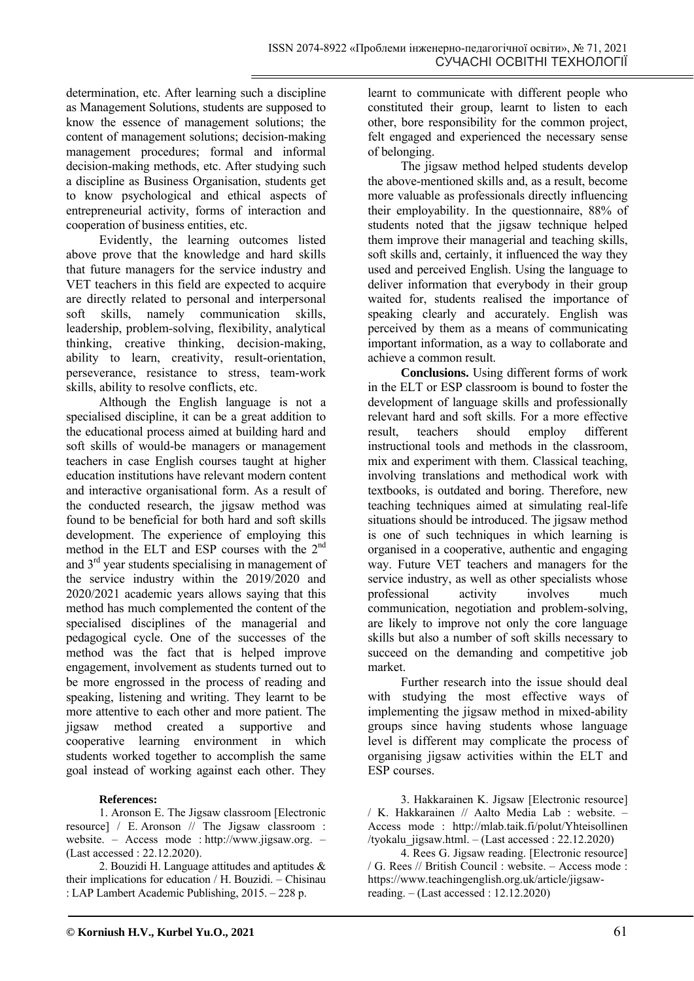determination, etc. After learning such a discipline as Management Solutions, students are supposed to know the essence of management solutions; the content of management solutions; decision-making management procedures; formal and informal decision-making methods, etc. After studying such a discipline as Business Organisation, students get to know psychological and ethical aspects of entrepreneurial activity, forms of interaction and cooperation of business entities, etc.

Evidently, the learning outcomes listed above prove that the knowledge and hard skills that future managers for the service industry and VET teachers in this field are expected to acquire are directly related to personal and interpersonal soft skills, namely communication skills, leadership, problem-solving, flexibility, analytical thinking, creative thinking, decision-making, ability to learn, creativity, result-orientation, perseverance, resistance to stress, team-work skills, ability to resolve conflicts, etc.

Although the English language is not a specialised discipline, it can be a great addition to the educational process aimed at building hard and soft skills of would-be managers or management teachers in case English courses taught at higher education institutions have relevant modern content and interactive organisational form. As a result of the conducted research, the jigsaw method was found to be beneficial for both hard and soft skills development. The experience of employing this method in the ELT and ESP courses with the 2nd and  $3<sup>rd</sup>$  year students specialising in management of the service industry within the 2019/2020 and 2020/2021 academic years allows saying that this method has much complemented the content of the specialised disciplines of the managerial and pedagogical cycle. One of the successes of the method was the fact that is helped improve engagement, involvement as students turned out to be more engrossed in the process of reading and speaking, listening and writing. They learnt to be more attentive to each other and more patient. The jigsaw method created a supportive and cooperative learning environment in which students worked together to accomplish the same goal instead of working against each other. They

## **References:**

1. Aronson E. The Jigsaw classroom [Еlectronic resource] / E. Aronson // The Jigsaw classroom : website. – Access mode : http://www.jigsaw.org. – (Last accessed : 22.12.2020).

2. Bouzidi H. Language attitudes and aptitudes  $\&$ their implications for education / H. Bouzidi. – Chisinau : LAP Lambert Academic Publishing, 2015. – 228 p.

learnt to communicate with different people who constituted their group, learnt to listen to each other, bore responsibility for the common project, felt engaged and experienced the necessary sense of belonging.

The jigsaw method helped students develop the above-mentioned skills and, as a result, become more valuable as professionals directly influencing their employability. In the questionnaire, 88% of students noted that the jigsaw technique helped them improve their managerial and teaching skills, soft skills and, certainly, it influenced the way they used and perceived English. Using the language to deliver information that everybody in their group waited for, students realised the importance of speaking clearly and accurately. English was perceived by them as a means of communicating important information, as a way to collaborate and achieve a common result.

**Conclusions.** Using different forms of work in the ELT or ESP classroom is bound to foster the development of language skills and professionally relevant hard and soft skills. For a more effective result, teachers should employ different instructional tools and methods in the classroom, mix and experiment with them. Classical teaching, involving translations and methodical work with textbooks, is outdated and boring. Therefore, new teaching techniques aimed at simulating real-life situations should be introduced. The jigsaw method is one of such techniques in which learning is organised in a cooperative, authentic and engaging way. Future VET teachers and managers for the service industry, as well as other specialists whose professional activity involves much communication, negotiation and problem-solving, are likely to improve not only the core language skills but also a number of soft skills necessary to succeed on the demanding and competitive job market.

Further research into the issue should deal with studying the most effective ways of implementing the jigsaw method in mixed-ability groups since having students whose language level is different may complicate the process of organising jigsaw activities within the ELT and ESP courses.

3. Hakkarainen K. Jigsaw [Еlectronic resource] / K. Hakkarainen // Aalto Media Lab : website. – Access mode : http://mlab.taik.fi/polut/Yhteisollinen /tyokalu\_jigsaw.html. – (Last accessed :  $22.12.2020$ )

4. Rees G. Jigsaw reading. [Еlectronic resource] / G. Rees // British Council : website. – Access mode : https://www.teachingenglish.org.uk/article/jigsawreading. – (Last accessed : 12.12.2020)